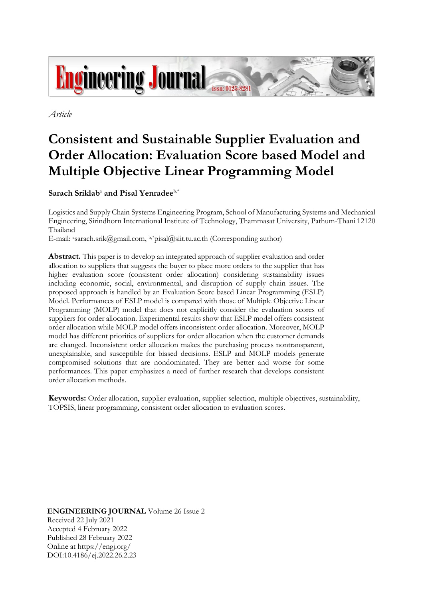

*Article*

# **Consistent and Sustainable Supplier Evaluation and Order Allocation: Evaluation Score based Model and Multiple Objective Linear Programming Model**

 $\mathbf{S}$ arach  $\mathbf{Sriklab}^{\text{a}}$  and  $\mathbf{Pisal }\mathbf{Yenrade}^{\text{b,*}}$ 

Logistics and Supply Chain Systems Engineering Program, School of Manufacturing Systems and Mechanical Engineering, Sirindhorn International Institute of Technology, Thammasat University, Pathum-Thani 12120 Thailand

E-mail: asarach.srik@gmail.com, b,\*pisal@siit.tu.ac.th (Corresponding author)

**Abstract.** This paper is to develop an integrated approach of supplier evaluation and order allocation to suppliers that suggests the buyer to place more orders to the supplier that has higher evaluation score (consistent order allocation) considering sustainability issues including economic, social, environmental, and disruption of supply chain issues. The proposed approach is handled by an Evaluation Score based Linear Programming (ESLP) Model. Performances of ESLP model is compared with those of Multiple Objective Linear Programming (MOLP) model that does not explicitly consider the evaluation scores of suppliers for order allocation. Experimental results show that ESLP model offers consistent order allocation while MOLP model offers inconsistent order allocation. Moreover, MOLP model has different priorities of suppliers for order allocation when the customer demands are changed. Inconsistent order allocation makes the purchasing process nontransparent, unexplainable, and susceptible for biased decisions. ESLP and MOLP models generate compromised solutions that are nondominated. They are better and worse for some performances. This paper emphasizes a need of further research that develops consistent order allocation methods.

**Keywords:** Order allocation, supplier evaluation, supplier selection, multiple objectives, sustainability, TOPSIS, linear programming, consistent order allocation to evaluation scores.

**ENGINEERING JOURNAL** Volume 26 Issue 2 Received 22 July 2021 Accepted 4 February 2022 Published 28 February 2022 Online at https://engj.org/ DOI:10.4186/ej.2022.26.2.23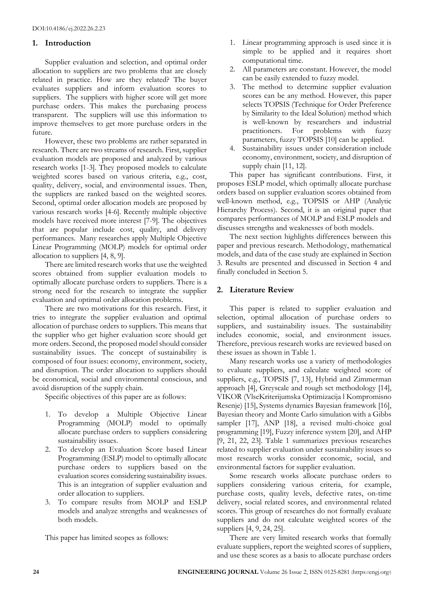## **1. Introduction**

Supplier evaluation and selection, and optimal order allocation to suppliers are two problems that are closely related in practice. How are they related? The buyer evaluates suppliers and inform evaluation scores to suppliers. The suppliers with higher score will get more purchase orders. This makes the purchasing process transparent. The suppliers will use this information to improve themselves to get more purchase orders in the future.

However, these two problems are rather separated in research. There are two streams of research. First, supplier evaluation models are proposed and analyzed by various research works [1-3]. They proposed models to calculate weighted scores based on various criteria, e.g., cost, quality, delivery, social, and environmental issues. Then, the suppliers are ranked based on the weighted scores. Second, optimal order allocation models are proposed by various research works [4-6]. Recently multiple objective models have received more interest [7-9]. The objectives that are popular include cost, quality, and delivery performances. Many researches apply Multiple Objective Linear Programming (MOLP) models for optimal order allocation to suppliers [4, 8, 9].

There are limited research works that use the weighted scores obtained from supplier evaluation models to optimally allocate purchase orders to suppliers. There is a strong need for the research to integrate the supplier evaluation and optimal order allocation problems.

There are two motivations for this research. First, it tries to integrate the supplier evaluation and optimal allocation of purchase orders to suppliers. This means that the supplier who get higher evaluation score should get more orders. Second, the proposed model should consider sustainability issues. The concept of sustainability is composed of four issues: economy, environment, society, and disruption. The order allocation to suppliers should be economical, social and environmental conscious, and avoid disruption of the supply chain.

Specific objectives of this paper are as follows:

- 1. To develop a Multiple Objective Linear Programming (MOLP) model to optimally allocate purchase orders to suppliers considering sustainability issues.
- 2. To develop an Evaluation Score based Linear Programming (ESLP) model to optimally allocate purchase orders to suppliers based on the evaluation scores considering sustainability issues. This is an integration of supplier evaluation and order allocation to suppliers.
- 3. To compare results from MOLP and ESLP models and analyze strengths and weaknesses of both models.

This paper has limited scopes as follows:

- 1. Linear programming approach is used since it is simple to be applied and it requires short computational time.
- 2. All parameters are constant. However, the model can be easily extended to fuzzy model.
- 3. The method to determine supplier evaluation scores can be any method. However, this paper selects TOPSIS (Technique for Order Preference by Similarity to the Ideal Solution) method which is well-known by researchers and industrial practitioners. For problems with fuzzy parameters, fuzzy TOPSIS [10] can be applied.
- 4. Sustainability issues under consideration include economy, environment, society, and disruption of supply chain [11, 12].

This paper has significant contributions. First, it proposes ESLP model, which optimally allocate purchase orders based on supplier evaluation scores obtained from well-known method, e.g., TOPSIS or AHP (Analytic Hierarchy Process). Second, it is an original paper that compares performances of MOLP and ESLP models and discusses strengths and weaknesses of both models.

The next section highlights differences between this paper and previous research. Methodology, mathematical models, and data of the case study are explained in Section 3. Results are presented and discussed in Section 4 and finally concluded in Section 5.

# **2. Literature Review**

This paper is related to supplier evaluation and selection, optimal allocation of purchase orders to suppliers, and sustainability issues. The sustainability includes economic, social, and environment issues. Therefore, previous research works are reviewed based on these issues as shown in Table 1.

Many research works use a variety of methodologies to evaluate suppliers, and calculate weighted score of suppliers, e.g., TOPSIS [7, 13], Hybrid and Zimmerman approach [4], Greyscale and rough set methodology [14], VIKOR (VlseKriterijumska Optimizacija l Kompromisno Resenje) [15], Systems dynamics Bayesian framework [16], Bayesian theory and Monte Carlo simulation with a Gibbs sampler [17], ANP [18], a revised multi-choice goal programming [19], Fuzzy inference system [20], and AHP [9, 21, 22, 23]. Table 1 summarizes previous researches related to supplier evaluation under sustainability issues so most research works consider economic, social, and environmental factors for supplier evaluation.

Some research works allocate purchase orders to suppliers considering various criteria, for example, purchase costs, quality levels, defective rates, on-time delivery, social related scores, and environmental related scores. This group of researches do not formally evaluate suppliers and do not calculate weighted scores of the suppliers [4, 9, 24, 25].

There are very limited research works that formally evaluate suppliers, report the weighted scores of suppliers, and use these scores as a basis to allocate purchase orders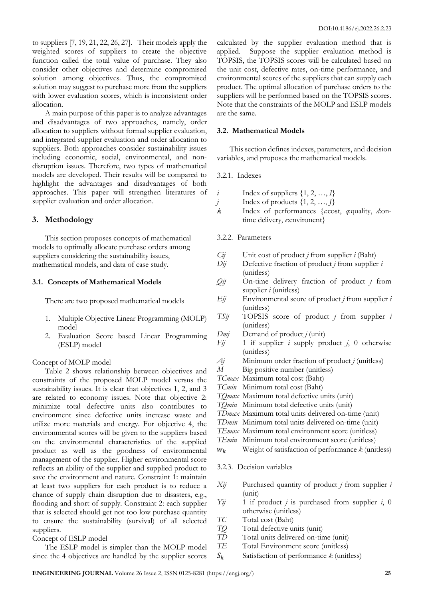to suppliers [7, 19, 21, 22, 26, 27]. Their models apply the weighted scores of suppliers to create the objective function called the total value of purchase. They also consider other objectives and determine compromised solution among objectives. Thus, the compromised solution may suggest to purchase more from the suppliers with lower evaluation scores, which is inconsistent order allocation.

A main purpose of this paper is to analyze advantages and disadvantages of two approaches, namely, order allocation to suppliers without formal supplier evaluation, and integrated supplier evaluation and order allocation to suppliers. Both approaches consider sustainability issues including economic, social, environmental, and nondisruption issues. Therefore, two types of mathematical models are developed. Their results will be compared to highlight the advantages and disadvantages of both approaches. This paper will strengthen literatures of supplier evaluation and order allocation.

# **3. Methodology**

This section proposes concepts of mathematical models to optimally allocate purchase orders among suppliers considering the sustainability issues, mathematical models, and data of case study.

## **3.1. Concepts of Mathematical Models**

There are two proposed mathematical models

- 1. Multiple Objective Linear Programming (MOLP) model
- 2. Evaluation Score based Linear Programming (ESLP) model

# Concept of MOLP model

Table 2 shows relationship between objectives and constraints of the proposed MOLP model versus the sustainability issues. It is clear that objectives 1, 2, and 3 are related to economy issues. Note that objective 2: minimize total defective units also contributes to environment since defective units increase waste and utilize more materials and energy. For objective 4, the environmental scores will be given to the suppliers based on the environmental characteristics of the supplied product as well as the goodness of environmental management of the supplier. Higher environmental score reflects an ability of the supplier and supplied product to save the environment and nature. Constraint 1: maintain at least two suppliers for each product is to reduce a chance of supply chain disruption due to disasters, e.g., flooding and short of supply. Constraint 2: each supplier that is selected should get not too low purchase quantity to ensure the sustainability (survival) of all selected suppliers.

# Concept of ESLP model

The ESLP model is simpler than the MOLP model since the 4 objectives are handled by the supplier scores

calculated by the supplier evaluation method that is applied. Suppose the supplier evaluation method is TOPSIS, the TOPSIS scores will be calculated based on the unit cost, defective rates, on-time performance, and environmental scores of the suppliers that can supply each product. The optimal allocation of purchase orders to the suppliers will be performed based on the TOPSIS scores. Note that the constraints of the MOLP and ESLP models are the same.

### **3.2. Mathematical Models**

This section defines indexes, parameters, and decision variables, and proposes the mathematical models.

## 3.2.1. Indexes

|         | Index of suppliers $\{1, 2, , I\}$                                       |
|---------|--------------------------------------------------------------------------|
|         |                                                                          |
| $\iota$ | Index of products $\{1, 2, , J\}$                                        |
| k.      | Index of performances { <i>c</i> :cost, <i>q</i> :quality, <i>d</i> :on- |
|         | time delivery, e:environent}                                             |
|         |                                                                          |

#### 3.2.2. Parameters

- *Cij* Unit cost of product *j* from supplier *i* (Baht)
- *Dij* Defective fraction of product *j* from supplier *i* (unitless)
- *Qij* On-time delivery fraction of product *j* from supplier *i* (unitless)
- *Eij* Environmental score of product *j* from supplier *i* (unitless)
- *TSij* TOPSIS score of product *j* from supplier *i* (unitless)
- *Dmj* Demand of product *j* (unit)
- *Fij* 1 if supplier *i* supply product *j*, 0 otherwise (unitless)
- *Aj* Minimum order fraction of product *j* (unitless)
- *M* Big positive number (unitless)
- *TCmax* Maximum total cost (Baht)
- *TCmin* Minimum total cost (Baht)
- *TQmax* Maximum total defective units (unit)
- *TQmin* Minimum total defective units (unit)
- *TDmax* Maximum total units delivered on-time (unit)
- *TDmin* Minimum total units delivered on-time (unit)
- *TEmax* Maximum total environment score (unitless)
- *TEmin* Minimum total environment score (unitless)
- $W_k$  Weight of satisfaction of performance  $k$  (unitless)

#### 3.2.3. Decision variables

- *Xij* Purchased quantity of product *j* from supplier *i* (unit)
- *Yij* 1 if product *j* is purchased from supplier *i*, 0 otherwise (unitless)
- *TC* Total cost (Baht)
- *TQ* Total defective units (unit)<br>*TD* Total units delivered on-tir
- Total units delivered on-time (unit)
- *TE* Total Environment score (unitless)
- $S_k$  Satisfaction of performance  $k$  (unitless)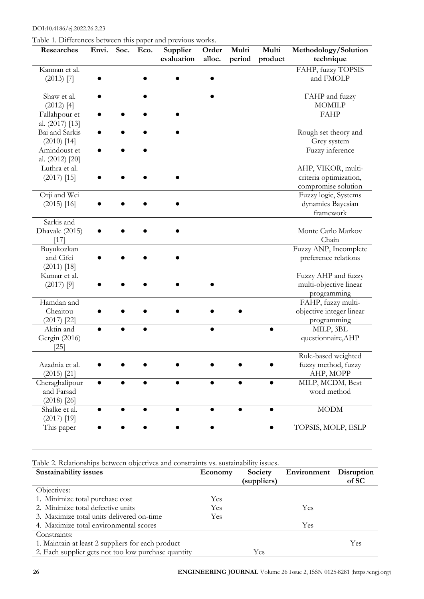DOI:10.4186/ej.2022.26.2.23

Table 1. Differences between this paper and previous works.

| radic 1. Differences between this paper and previous works.<br>Researches | Envi. Soc. | Eco. | Supplier<br>evaluation | Order<br>alloc. | Multi<br>period | Multi<br>product | Methodology/Solution<br>technique                                   |
|---------------------------------------------------------------------------|------------|------|------------------------|-----------------|-----------------|------------------|---------------------------------------------------------------------|
| Kannan et al.<br>$(2013)$ [7]                                             |            |      |                        |                 |                 |                  | FAHP, fuzzy TOPSIS<br>and FMOLP                                     |
| Shaw et al.<br>$(2012)$ [4]                                               | $\bullet$  |      |                        |                 |                 |                  | FAHP and fuzzy<br><b>MOMILP</b>                                     |
| Fallahpour et<br>al. (2017) [13]                                          |            |      |                        |                 |                 |                  | <b>FAHP</b>                                                         |
| Bai and Sarkis<br>$(2010)$ [14]                                           |            |      |                        |                 |                 |                  | Rough set theory and<br>Grey system                                 |
| Amindoust et<br>al. (2012) [20]                                           |            |      |                        |                 |                 |                  | Fuzzy inference                                                     |
| Luthra et al.<br>$(2017)$ [15]                                            |            |      |                        |                 |                 |                  | AHP, VIKOR, multi-<br>criteria optimization,<br>compromise solution |
| Orji and Wei<br>$(2015)$ [16]                                             |            |      |                        |                 |                 |                  | Fuzzy logic, Systems<br>dynamics Bayesian<br>framework              |
| Sarkis and<br>Dhavale (2015)<br>$[17]$                                    |            |      |                        |                 |                 |                  | Monte Carlo Markov<br>Chain                                         |
| Buyukozkan<br>and Cifci<br>$(2011)$ [18]                                  |            |      |                        |                 |                 |                  | Fuzzy ANP, Incomplete<br>preference relations                       |
| Kumar et al.<br>$(2017)$ [9]                                              |            |      |                        |                 |                 |                  | Fuzzy AHP and fuzzy<br>multi-objective linear<br>programming        |
| Hamdan and<br>Cheaitou<br>$(2017)$ [22]                                   |            |      |                        |                 |                 |                  | FAHP, fuzzy multi-<br>objective integer linear<br>programming       |
| Aktin and<br>Gergin (2016)<br>$[25]$                                      |            |      |                        |                 |                 |                  | MILP, 3BL<br>questionnaire, AHP                                     |
| Azadnia et al.<br>$(2015)$ [21]                                           |            |      |                        |                 |                 |                  | Rule-based weighted<br>fuzzy method, fuzzy<br>AHP, MOPP             |
| Cheraghalipour<br>and Farsad<br>$(2018)$ [26]                             |            |      |                        |                 |                 |                  | MILP, MCDM, Best<br>word method                                     |
| Shalke et al.<br>$(2017)$ [19]                                            |            |      |                        |                 |                 |                  | <b>MODM</b>                                                         |
| This paper                                                                |            |      |                        |                 |                 |                  | TOPSIS, MOLP, ESLP                                                  |

Table 2. Relationships between objectives and constraints vs. sustainability issues.

| Sustainability issues                               | Economy | Society     | Environment | Disruption |
|-----------------------------------------------------|---------|-------------|-------------|------------|
|                                                     |         | (suppliers) |             | of SC      |
| Objectives:                                         |         |             |             |            |
| 1. Minimize total purchase cost                     | Yes     |             |             |            |
| 2. Minimize total defective units                   | Yes     |             | Yes         |            |
| 3. Maximize total units delivered on-time           | Yes.    |             |             |            |
| 4. Maximize total environmental scores              |         |             | Yes         |            |
| Constraints:                                        |         |             |             |            |
| 1. Maintain at least 2 suppliers for each product   |         | Yes         |             |            |
| 2. Each supplier gets not too low purchase quantity |         | Yes         |             |            |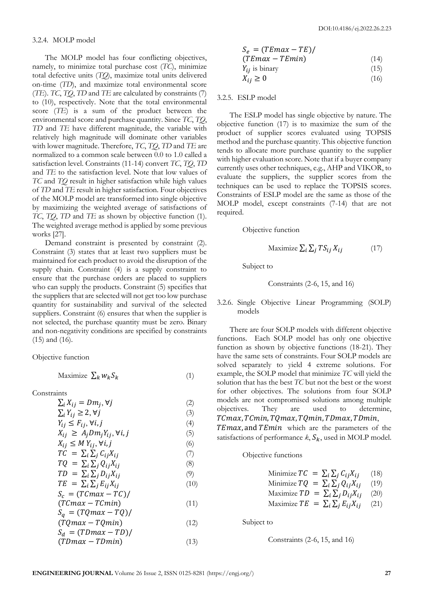#### 3.2.4. MOLP model

The MOLP model has four conflicting objectives, namely, to minimize total purchase cost (*TC*), minimize total defective units (*TQ*), maximize total units delivered on-time (*TD*), and maximize total environmental score (*TE*). *TC*, *TQ*, *TD* and *TE* are calculated by constraints (7) to (10), respectively. Note that the total environmental score (*TE*) is a sum of the product between the environmental score and purchase quantity. Since *TC*, *TQ*, *TD* and *TE* have different magnitude, the variable with relatively high magnitude will dominate other variables with lower magnitude. Therefore, *TC*, *TQ*, *TD* and *TE* are normalized to a common scale between 0.0 to 1.0 called a satisfaction level. Constraints (11-14) convert *TC*, *TQ*, *TD* and *TE* to the satisfaction level. Note that low values of *TC* and *TQ* result in higher satisfaction while high values of *TD* and *TE* result in higher satisfaction. Four objectives of the MOLP model are transformed into single objective by maximizing the weighted average of satisfactions of *TC*, *TQ*, *TD* and *TE* as shown by objective function (1). The weighted average method is applied by some previous works [27].

Demand constraint is presented by constraint (2). Constraint (3) states that at least two suppliers must be maintained for each product to avoid the disruption of the supply chain. Constraint (4) is a supply constraint to ensure that the purchase orders are placed to suppliers who can supply the products. Constraint (5) specifies that the suppliers that are selected will not get too low purchase quantity for sustainability and survival of the selected suppliers. Constraint (6) ensures that when the supplier is not selected, the purchase quantity must be zero. Binary and non-negativity conditions are specified by constraints (15) and (16).

Objective function

$$
\text{Maximize } \sum_{k} w_k S_k \tag{1}
$$

**Constraints** 

- $\sum_i X_{ij} = Dm_j, \forall j$  (2)  $\sum_{i} Y_{i i} \geq 2, \forall j$  (3)  $Y_{ij} \leq F_{ij}, \forall i, j$  (4)
- $X_{ij} \geq A_i D m_i Y_{ij}, \forall i, j$  (5)

$$
X_{ij} \le M Y_{ij}, \forall i, j
$$
\n
$$
(6)
$$

$$
TC = \sum_{i} \sum_{j} C_{ij} X_{ij} \tag{7}
$$

$$
TQ = \sum_{i} \sum_{j} Q_{ij} X_{ij}
$$
 (8)

$$
TD = \sum_{i} \sum_{j} D_{ij} X_{ij}
$$
  
\n
$$
TE = \sum_{i} \sum_{j} E_{ij} X_{ij}
$$
 (9) (10)

$$
S_c = (TCmax - TC) / \tag{10}
$$

$$
(TCmax - TCmin) \tag{11}
$$
\n
$$
S = (TCmax - TC)/T
$$

$$
S_q = (I \, Qmax - I \, Q)/(T \, Qmax - T \, Qmin)
$$
(12)

$$
S_d = (T D max - T D) /
$$
  
(*T D max - T D min*) (13)

$$
S_e = (TEmax - TE) / (TEmax - TEmin)
$$
\n(14)

$$
Y_{ij} \text{ is binary} \tag{15}
$$

$$
X_{ij} \ge 0 \tag{16}
$$

3.2.5. ESLP model

The ESLP model has single objective by nature. The objective function (17) is to maximize the sum of the product of supplier scores evaluated using TOPSIS method and the purchase quantity. This objective function tends to allocate more purchase quantity to the supplier with higher evaluation score. Note that if a buyer company currently uses other techniques, e.g., AHP and VIKOR, to evaluate the suppliers, the supplier scores from the techniques can be used to replace the TOPSIS scores. Constraints of ESLP model are the same as those of the MOLP model, except constraints (7-14) that are not required.

Objective function

$$
\text{Maximize } \sum_{i} \sum_{j} TS_{ij} X_{ij} \tag{17}
$$

Subject to

Constraints 
$$
(2-6, 15, and 16)
$$

3.2.6. Single Objective Linear Programming (SOLP) models

There are four SOLP models with different objective functions. Each SOLP model has only one objective function as shown by objective functions (18-21). They have the same sets of constraints. Four SOLP models are solved separately to yield 4 extreme solutions. For example, the SOLP model that minimize *TC* will yield the solution that has the best *TC* but not the best or the worst for other objectives. The solutions from four SOLP models are not compromised solutions among multiple objectives. They are used to determine, TCmax, TCmin, TQmax, TQmin, TDmax, TDmin,

TEmax, and TEmin which are the parameters of the satisfactions of performance  $k$ ,  $S_k$ , used in MOLP model.

#### Objective functions

Minimize 
$$
TC = \sum_i \sum_j C_{ij} X_{ij}
$$
 (18)

Minimize 
$$
TQ = \sum_i \sum_j Q_{ij}X_{ij}
$$
 (19)

Maximize 
$$
TD = \sum_i \sum_j D_{ij} X_{ij}
$$
 (20)

Maximize  $TE = \sum_i \sum_j E_{ij} X_{ij}$  (21)

Subject to

#### Constraints (2-6, 15, and 16)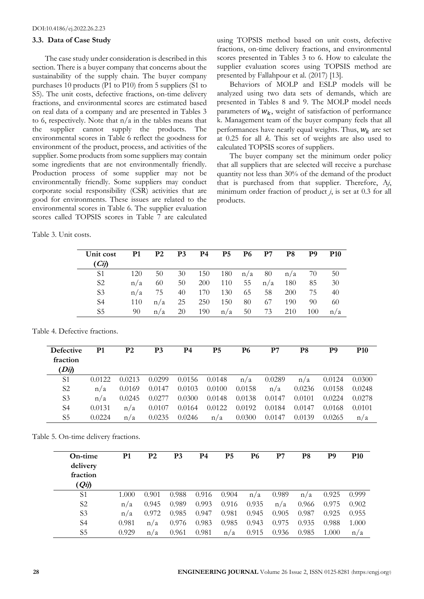#### **3.3. Data of Case Study**

The case study under consideration is described in this section. There is a buyer company that concerns about the sustainability of the supply chain. The buyer company purchases 10 products (P1 to P10) from 5 suppliers (S1 to S5). The unit costs, defective fractions, on-time delivery fractions, and environmental scores are estimated based on real data of a company and are presented in Tables 3 to 6, respectively. Note that  $n/a$  in the tables means that the supplier cannot supply the products. The environmental scores in Table 6 reflect the goodness for environment of the product, process, and activities of the supplier. Some products from some suppliers may contain some ingredients that are not environmentally friendly. Production process of some supplier may not be environmentally friendly. Some suppliers may conduct corporate social responsibility (CSR) activities that are good for environments. These issues are related to the environmental scores in Table 6. The supplier evaluation scores called TOPSIS scores in Table 7 are calculated

using TOPSIS method based on unit costs, defective fractions, on-time delivery fractions, and environmental scores presented in Tables 3 to 6. How to calculate the supplier evaluation scores using TOPSIS method are presented by Fallahpour et al. (2017) [13].

Behaviors of MOLP and ESLP models will be analyzed using two data sets of demands, which are presented in Tables 8 and 9. The MOLP model needs parameters of  $W_k$ , weight of satisfaction of performance k. Management team of the buyer company feels that all performances have nearly equal weights. Thus,  $W_k$  are set at 0.25 for all *k*. This set of weights are also used to calculated TOPSIS scores of suppliers.

The buyer company set the minimum order policy that all suppliers that are selected will receive a purchase quantity not less than 30% of the demand of the product that is purchased from that supplier. Therefore, A*j*, minimum order fraction of product *j*, is set at 0.3 for all products.

Table 3. Unit costs.

| Unit cost<br>(Cij) | P1  | P <sub>2</sub> | P3 | P4         | P5  | P6  | P7  | P8  | P9  | <b>P10</b> |
|--------------------|-----|----------------|----|------------|-----|-----|-----|-----|-----|------------|
| S1                 | 120 | 50             | 30 | 150        | 180 | n/a | 80  | n/a | 70  | 50         |
| S <sub>2</sub>     | n/a | 60             | 50 | <b>200</b> | 110 | 55  | n/a | 180 | 85  | 30         |
| S3                 | n/a | 75             | 40 | 170        | 130 | 65  | 58  | 200 | 75  | 40         |
| S4                 | 110 | n/a            | 25 | 250        | 150 | 80  | 67  | 190 | 90  | 60         |
| S5                 | 90  | n/a            | 20 | 190        | n/a | 50  | 73  | 210 | 100 | n/a        |

Table 4. Defective fractions.

| <b>Defective</b><br>fraction<br>$\left( Dij\right)$ | P1     | P2     | P3     | P4     | P5     | P6     | P7     | P8     | P9     | <b>P10</b> |
|-----------------------------------------------------|--------|--------|--------|--------|--------|--------|--------|--------|--------|------------|
| S1                                                  | 0.0122 | 0.0213 | 0.0299 | 0.0156 | 0.0148 | n/a    | 0.0289 | n/a    | 0.0124 | 0.0300     |
| S <sub>2</sub>                                      | n/a    | 0.0169 | 0.0147 | 0.0103 | 0.0100 | 0.0158 | n/a    | 0.0236 | 0.0158 | 0.0248     |
| S <sub>3</sub>                                      | n/a    | 0.0245 | 0.0277 | 0.0300 | 0.0148 | 0.0138 | 0.0147 | 0.0101 | 0.0224 | 0.0278     |
| S4                                                  | 0.0131 | n/a    | 0.0107 | 0.0164 | 0.0122 | 0.0192 | 0.0184 | 0.0147 | 0.0168 | 0.0101     |
| S5                                                  | 0.0224 | n/a    | 0.0235 | 0.0246 | n/a    | 0.0300 | 0.0147 | 0.0139 | 0.0265 | n/a        |

Table 5. On-time delivery fractions.

| On-time<br>delivery<br>fraction<br>$(Q_{ij})$ | P1    | P <sub>2</sub> | P3    | P4    | P5    | P6    | P7    | P8    | P9    | P <sub>10</sub> |
|-----------------------------------------------|-------|----------------|-------|-------|-------|-------|-------|-------|-------|-----------------|
| S1                                            | 1.000 | 0.901          | 0.988 | 0.916 | 0.904 | n/a   | 0.989 | n/a   | 0.925 | 0.999           |
| S <sub>2</sub>                                | n/a   | 0.945          | 0.989 | 0.993 | 0.916 | 0.935 | n/a   | 0.966 | 0.975 | 0.902           |
| S <sub>3</sub>                                | n/a   | 0.972          | 0.985 | 0.947 | 0.981 | 0.945 | 0.905 | 0.987 | 0.925 | 0.955           |
| S <sub>4</sub>                                | 0.981 | n/a            | 0.976 | 0.983 | 0.985 | 0.943 | 0.975 | 0.935 | 0.988 | 1.000           |
| S <sub>5</sub>                                | 0.929 | n/a            | 0.961 | 0.981 | n/a   | 0.915 | 0.936 | 0.985 | 1.000 | n/a             |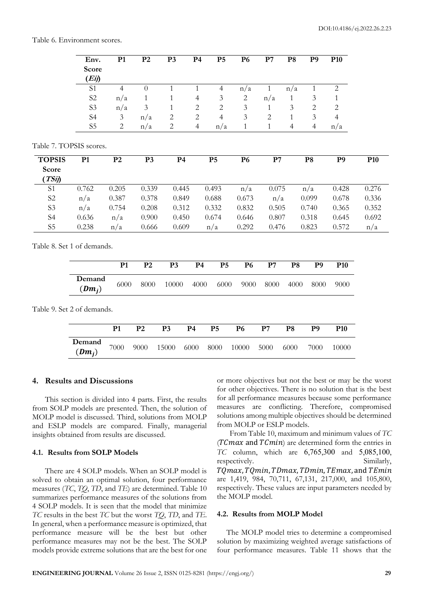#### Table 6. Environment scores.

|                                  | Env.<br>Score<br>(Eij)     | P1             | P <sub>2</sub> | P <sub>3</sub> | P <sub>4</sub> | P <sub>5</sub> | <b>P6</b>      | P7            | P <sub>8</sub> | P <sub>9</sub> | P <sub>10</sub> |                 |
|----------------------------------|----------------------------|----------------|----------------|----------------|----------------|----------------|----------------|---------------|----------------|----------------|-----------------|-----------------|
|                                  | S1                         | $\overline{4}$ | $\overline{0}$ | $\mathbf{1}$   | $\mathbf{1}$   | $\overline{4}$ | n/a            | $\mathbf{1}$  | n/a            | $\mathbf{1}$   | $\sqrt{2}$      |                 |
|                                  | S <sub>2</sub>             | n/a            | 1              | 1              | 4              | 3              | $\sqrt{2}$     | n/a           | 1              | 3              | 1               |                 |
|                                  | S <sub>3</sub>             | n/a            | 3              | 1              | $\overline{c}$ | $\overline{2}$ | $\mathfrak{Z}$ | 1             | 3              | $\overline{c}$ | $\overline{c}$  |                 |
|                                  | S <sub>4</sub>             | $\mathfrak{Z}$ | n/a            | $\overline{c}$ | $\sqrt{2}$     | $\overline{4}$ | 3              | $\mathbf{2}$  | $\mathbf{1}$   | $\mathfrak{Z}$ | $\overline{4}$  |                 |
|                                  | S <sub>5</sub>             | $\overline{2}$ | n/a            | $\overline{2}$ | $\overline{4}$ | n/a            | $\mathbf{1}$   | $\mathbf{1}$  | $\overline{4}$ | $\overline{4}$ | n/a             |                 |
|                                  | Table 7. TOPSIS scores.    |                |                |                |                |                |                |               |                |                |                 |                 |
| <b>TOPSIS</b><br>Score<br>(TSij) | P1                         | P <sub>2</sub> | P <sub>3</sub> | P <sub>4</sub> |                | P <sub>5</sub> | <b>P6</b>      | P7            |                | P <sub>8</sub> | P <sub>9</sub>  | P <sub>10</sub> |
| S <sub>1</sub>                   | 0.762                      | 0.205          | 0.339          | 0.445          |                | 0.493          | n/a            | 0.075         |                | n/a            | 0.428           | 0.276           |
| S <sub>2</sub>                   | n/a                        | 0.387          | 0.378          | 0.849          |                | 0.688          | 0.673          | n/a           |                | 0.099          | 0.678           | 0.336           |
| S <sub>3</sub>                   | n/a                        | 0.754          | 0.208          | 0.312          |                | 0.332          | 0.832          | 0.505         |                | 0.740          | 0.365           | 0.352           |
| S <sub>4</sub>                   | 0.636                      | n/a            | 0.900          | 0.450          |                | 0.674          | 0.646          | 0.807         |                | 0.318          | 0.645           | 0.692           |
| S <sub>5</sub>                   | 0.238                      | n/a            | 0.666          | 0.609          |                | n/a            | 0.292          | 0.476         |                | 0.823          | 0.572           | n/a             |
|                                  | Table 8. Set 1 of demands. |                |                |                |                |                |                |               |                |                |                 |                 |
|                                  |                            | P1             | P <sub>2</sub> | P <sub>3</sub> | P <sub>4</sub> | P <sub>5</sub> | <b>P6</b>      | P7            | P <sub>8</sub> | P <sub>9</sub> | P <sub>10</sub> |                 |
|                                  | Demand<br>$(Dm_i)$         | 6000           | 8000           | 10000          | 4000           | 6000           | 9000           | 8000          | 4000           | 8000           | 9000            |                 |
|                                  | Table 9. Set 2 of demands. |                |                |                |                |                |                |               |                |                |                 |                 |
|                                  |                            | P <sub>1</sub> | $\mathbf{P}2$  | P <sub>3</sub> | P <sub>4</sub> | P <sub>5</sub> | <b>P6</b>      | $\mathbf{P}7$ | P <sub>8</sub> | P <sub>9</sub> | P <sub>10</sub> |                 |
|                                  | Demand<br>(                | 7000           | 9000           | 15000          | 6000           | 8000           | 10000          | 5000          | 6000           | 7000           | 10000           |                 |

#### **4. Results and Discussions**

 $(Dm_i)$ 

This section is divided into 4 parts. First, the results from SOLP models are presented. Then, the solution of MOLP model is discussed. Third, solutions from MOLP and ESLP models are compared. Finally, managerial insights obtained from results are discussed.

#### **4.1. Results from SOLP Models**

There are 4 SOLP models. When an SOLP model is solved to obtain an optimal solution, four performance measures (*TC*, *TQ*, *TD*, and *TE*) are determined. Table 10 summarizes performance measures of the solutions from 4 SOLP models. It is seen that the model that minimize *TC* results in the best *TC* but the worst *TQ*, *TD*, and *TE*. In general, when a performance measure is optimized, that performance measure will be the best but other performance measures may not be the best. The SOLP models provide extreme solutions that are the best for one or more objectives but not the best or may be the worst for other objectives. There is no solution that is the best for all performance measures because some performance measures are conflicting. Therefore, compromised solutions among multiple objectives should be determined from MOLP or ESLP models.

From Table 10, maximum and minimum values of *TC*  $(TCmax$  and  $TCmin$ ) are determined form the entries in *TC* column, which are 6,765,300 and 5,085,100, respectively. Similarly, TQmax, TQmin, TDmax, TDmin, TEmax, and TEmin are 1,419, 984, 70,711, 67,131, 217,000, and 105,800, respectively. These values are input parameters needed by the MOLP model.

#### **4.2. Results from MOLP Model**

The MOLP model tries to determine a compromised solution by maximizing weighted average satisfactions of four performance measures. Table 11 shows that the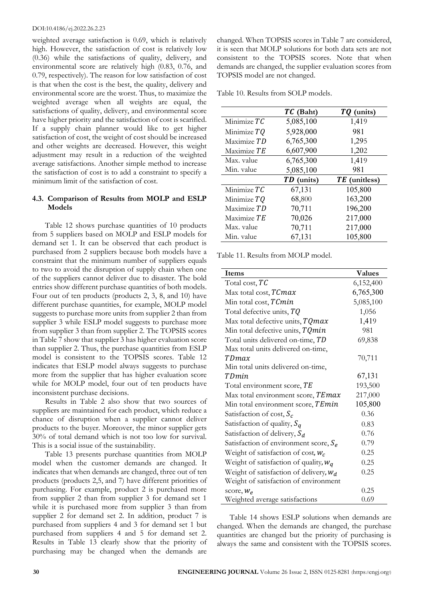weighted average satisfaction is 0.69, which is relatively high. However, the satisfaction of cost is relatively low (0.36) while the satisfactions of quality, delivery, and environmental score are relatively high (0.83, 0.76, and 0.79, respectively). The reason for low satisfaction of cost is that when the cost is the best, the quality, delivery and environmental score are the worst. Thus, to maximize the weighted average when all weights are equal, the satisfactions of quality, delivery, and environmental score have higher priority and the satisfaction of cost is scarified. If a supply chain planner would like to get higher satisfaction of cost, the weight of cost should be increased and other weights are decreased. However, this weight adjustment may result in a reduction of the weighted average satisfactions. Another simple method to increase the satisfaction of cost is to add a constraint to specify a minimum limit of the satisfaction of cost.

# **4.3. Comparison of Results from MOLP and ESLP Models**

Table 12 shows purchase quantities of 10 products from 5 suppliers based on MOLP and ESLP models for demand set 1. It can be observed that each product is purchased from 2 suppliers because both models have a constraint that the minimum number of suppliers equals to two to avoid the disruption of supply chain when one of the suppliers cannot deliver due to disaster. The bold entries show different purchase quantities of both models. Four out of ten products (products 2, 3, 8, and 10) have different purchase quantities, for example, MOLP model suggests to purchase more units from supplier 2 than from supplier 3 while ESLP model suggests to purchase more from supplier 3 than from supplier 2. The TOPSIS scores in Table 7 show that supplier 3 has higher evaluation score than supplier 2. Thus, the purchase quantities from ESLP model is consistent to the TOPSIS scores. Table 12 indicates that ESLP model always suggests to purchase more from the supplier that has higher evaluation score while for MOLP model, four out of ten products have inconsistent purchase decisions.

Results in Table 2 also show that two sources of suppliers are maintained for each product, which reduce a chance of disruption when a supplier cannot deliver products to the buyer. Moreover, the minor supplier gets 30% of total demand which is not too low for survival. This is a social issue of the sustainability.

Table 13 presents purchase quantities from MOLP model when the customer demands are changed. It indicates that when demands are changed, three out of ten products (products 2,5, and 7) have different priorities of purchasing. For example, product 2 is purchased more from supplier 2 than from supplier 3 for demand set 1 while it is purchased more from supplier 3 than from supplier 2 for demand set 2. In addition, product 7 is purchased from suppliers 4 and 3 for demand set 1 but purchased from suppliers 4 and 5 for demand set 2. Results in Table 13 clearly show that the priority of purchasing may be changed when the demands are changed. When TOPSIS scores in Table 7 are considered, it is seen that MOLP solutions for both data sets are not consistent to the TOPSIS scores. Note that when demands are changed, the supplier evaluation scores from TOPSIS model are not changed.

Table 10. Results from SOLP models.

|             | TC (Baht)  | TQ (units)    |
|-------------|------------|---------------|
| Minimize TC | 5,085,100  | 1,419         |
| Minimize TQ | 5,928,000  | 981           |
| Maximize TD | 6,765,300  | 1,295         |
| Maximize TE | 6,607,900  | 1,202         |
| Max. value  | 6,765,300  | 1,419         |
| Min. value  | 5,085,100  | 981           |
|             | TD (units) | TE (unitless) |
| Minimize TC | 67,131     | 105,800       |
| Minimize TQ | 68,800     | 163,200       |
| Maximize TD | 70,711     | 196,200       |
| Maximize TE | 70,026     | 217,000       |
| Max. value  | 70,711     | 217,000       |
| Min. value  |            |               |

Table 11. Results from MOLP model.

| Items                                     | <b>Values</b> |
|-------------------------------------------|---------------|
| Total cost, $TC$                          | 6,152,400     |
| Max total cost, TCmax                     | 6,765,300     |
| Min total cost, TCmin                     | 5,085,100     |
| Total defective units, $TQ$               | 1,056         |
| Max total defective units, TQmax          | 1,419         |
| Min total defective units, TQmin          | 981           |
| Total units delivered on-time, TD         | 69,838        |
| Max total units delivered on-time,        |               |
| TDmax                                     | 70,711        |
| Min total units delivered on-time,        |               |
| TDmin                                     | 67,131        |
| Total environment score, TE               | 193,500       |
| Max total environment score, TEmax        | 217,000       |
| Min total environment score, TEmin        | 105,800       |
| Satisfaction of cost, $S_c$               | 0.36          |
| Satisfaction of quality, $S_q$            | 0.83          |
| Satisfaction of delivery, $S_d$           | 0.76          |
| Satisfaction of environment score, $S_e$  | 0.79          |
| Weight of satisfaction of cost, $W_c$     | 0.25          |
| Weight of satisfaction of quality, $W_q$  | 0.25          |
| Weight of satisfaction of delivery, $W_d$ | 0.25          |
| Weight of satisfaction of environment     |               |
| score, $W_e$                              | 0.25          |
| Weighted average satisfactions            | 0.69          |

Table 14 shows ESLP solutions when demands are changed. When the demands are changed, the purchase quantities are changed but the priority of purchasing is always the same and consistent with the TOPSIS scores.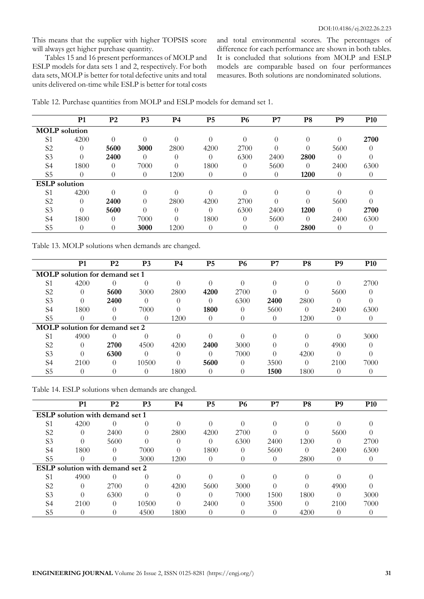This means that the supplier with higher TOPSIS score will always get higher purchase quantity.

Tables 15 and 16 present performances of MOLP and ESLP models for data sets 1 and 2, respectively. For both data sets, MOLP is better for total defective units and total units delivered on-time while ESLP is better for total costs

and total environmental scores. The percentages of difference for each performance are shown in both tables. It is concluded that solutions from MOLP and ESLP models are comparable based on four performances measures. Both solutions are nondominated solutions.

|                      | P <sub>1</sub> | P <sub>2</sub> | P <sub>3</sub> | P4       | P <sub>5</sub> | <b>P6</b> | P7   | P8               | P <sub>9</sub> | <b>P10</b> |
|----------------------|----------------|----------------|----------------|----------|----------------|-----------|------|------------------|----------------|------------|
| <b>MOLP</b> solution |                |                |                |          |                |           |      |                  |                |            |
| S1                   | 4200           | 0              | $\Omega$       |          | 0              |           | 0    | $\Omega$         | $\Omega$       | 2700       |
| S <sub>2</sub>       | $\theta$       | 5600           | 3000           | 2800     | 4200           | 2700      |      | $\left( \right)$ | 5600           |            |
| S <sub>3</sub>       |                | 2400           |                | 0        |                | 6300      | 2400 | 2800             |                |            |
| S4                   | 1800           | $\left($       | 7000           | 0        | 1800           | $\Omega$  | 5600 | $\Omega$         | 2400           | 6300       |
| S <sub>5</sub>       | 0              | 0              | 0              | 1200     | $\Omega$       | $\theta$  | 0    | 1200             | $\Omega$       | $\theta$   |
| <b>ESLP</b> solution |                |                |                |          |                |           |      |                  |                |            |
| S1                   | 4200           | 0              | $\Omega$       |          |                |           |      | 0                |                |            |
| S <sub>2</sub>       | $\Omega$       | 2400           | $\Omega$       | 2800     | 4200           | 2700      |      | 0                | 5600           |            |
| S <sub>3</sub>       | 0              | 5600           | $\Omega$       | $\Omega$ | 0              | 6300      | 2400 | 1200             | $\Omega$       | 2700       |
| S4                   | 1800           | $\theta$       | 7000           | 0        | 1800           |           | 5600 | $\Omega$         | 2400           | 6300       |
| S <sub>5</sub>       | 0              | 0              | 3000           | 1200     | 0              |           |      | 2800             |                |            |

Table 12. Purchase quantities from MOLP and ESLP models for demand set 1.

Table 13. MOLP solutions when demands are changed.

|                | P <sub>1</sub>                        | P <sub>2</sub> | P <sub>3</sub> | <b>P4</b> | P <sub>5</sub> | <b>P6</b> | P7           | P <sub>8</sub>   | P <sub>9</sub> | <b>P10</b> |
|----------------|---------------------------------------|----------------|----------------|-----------|----------------|-----------|--------------|------------------|----------------|------------|
|                | <b>MOLP</b> solution for demand set 1 |                |                |           |                |           |              |                  |                |            |
| S1             | 4200                                  |                |                |           |                |           | $\mathbf{0}$ |                  | 0              | 2700       |
| S <sub>2</sub> | $\Omega$                              | 5600           | 3000           | 2800      | 4200           | 2700      |              | $\cup$           | 5600           |            |
| S <sub>3</sub> | 0                                     | 2400           |                |           |                | 6300      | 2400         | 2800             |                |            |
| S <sub>4</sub> | 1800                                  |                | 7000           |           | 1800           |           | 5600         |                  | 2400           | 6300       |
| S <sub>5</sub> | 0                                     |                | 0              | 1200      | $\theta$       | O         | O            | 1200             | $\theta$       |            |
|                | <b>MOLP</b> solution for demand set 2 |                |                |           |                |           |              |                  |                |            |
| S <sub>1</sub> | 4900                                  |                |                |           |                |           |              |                  |                | 3000       |
| S <sub>2</sub> | 0                                     | 2700           | 4500           | 4200      | 2400           | 3000      |              |                  | 4900           |            |
| S <sub>3</sub> | $\Omega$                              | 6300           | $\Omega$       |           | $\mathcal{O}$  | 7000      |              | 4200             | $\bigcap$      |            |
| S4             | 2100                                  | $\theta$       | 10500          |           | 5600           | $\theta$  | 3500         | $\left( \right)$ | 2100           | 7000       |
| S <sub>5</sub> | $\theta$                              |                | 0              | 1800      |                |           | 1500         | 1800             |                |            |

Table 14. ESLP solutions when demands are changed.

|                | P <sub>1</sub>                         | P <sub>2</sub>   | P3       | P4   | P <sub>5</sub> | <b>P6</b> | P7   | P <sub>8</sub> | P <sub>9</sub> | <b>P10</b> |
|----------------|----------------------------------------|------------------|----------|------|----------------|-----------|------|----------------|----------------|------------|
|                | <b>ESLP</b> solution with demand set 1 |                  |          |      |                |           |      |                |                |            |
| S <sub>1</sub> | 4200                                   | $\left( \right)$ | $\theta$ |      |                |           |      |                |                |            |
| S <sub>2</sub> | $\left( \right)$                       | 2400             | $\theta$ | 2800 | 4200           | 2700      |      |                | 5600           |            |
| S <sub>3</sub> |                                        | 5600             |          |      |                | 6300      | 2400 | 1200           |                | 2700       |
| S <sub>4</sub> | 1800                                   |                  | 7000     |      | 1800           | $\Omega$  | 5600 |                | 2400           | 6300       |
| S <sub>5</sub> | $\left( \right)$                       | $\Omega$         | 3000     | 1200 | $\Omega$       | $\theta$  |      | 2800           |                |            |
|                | <b>ESLP</b> solution with demand set 2 |                  |          |      |                |           |      |                |                |            |
| S1             | 4900                                   |                  | 0        |      |                |           |      |                |                |            |
| S <sub>2</sub> | $\theta$                               | 2700             | 0        | 4200 | 5600           | 3000      |      |                | 4900           |            |
| S <sub>3</sub> |                                        | 6300             |          |      |                | 7000      | 1500 | 1800           | $\Omega$       | 3000       |
| S4             | 2100                                   | $\Omega$         | 10500    |      | 2400           | $\Omega$  | 3500 | $\Omega$       | 2100           | 7000       |
| S <sub>5</sub> | $\theta$                               |                  | 4500     | 1800 | 0              | $\theta$  |      | 4200           |                |            |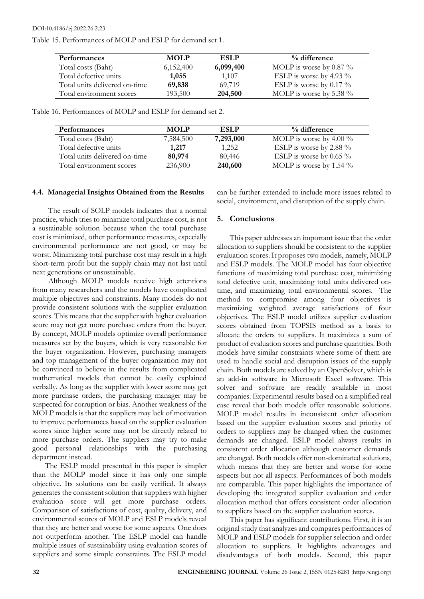DOI:10.4186/ej.2022.26.2.23

Table 15. Performances of MOLP and ESLP for demand set 1.

| Performances                  | <b>MOLP</b> | <b>ESLP</b> | % difference               |
|-------------------------------|-------------|-------------|----------------------------|
| Total costs (Baht)            | 6,152,400   | 6,099,400   | MOLP is worse by 0.87 $\%$ |
| Total defective units         | 1,055       | 1,107       | ESLP is worse by 4.93 $\%$ |
| Total units delivered on-time | 69,838      | 69,719      | ESLP is worse by 0.17 $\%$ |
| Total environment scores      | 193,500     | 204,500     | MOLP is worse by 5.38 $\%$ |

Table 16. Performances of MOLP and ESLP for demand set 2.

| <b>Performances</b>           | <b>MOLP</b> | ESLP      | % difference               |
|-------------------------------|-------------|-----------|----------------------------|
| Total costs (Baht)            | 7,584,500   | 7,293,000 | MOLP is worse by $4.00\%$  |
| Total defective units         | 1.217       | 1,252     | ESLP is worse by 2.88 $\%$ |
| Total units delivered on-time | 80,974      | 80,446    | ESLP is worse by 0.65 $\%$ |
| Total environment scores      | 236,900     | 240,600   | MOLP is worse by 1.54 $\%$ |

## **4.4. Managerial Insights Obtained from the Results**

The result of SOLP models indicates that a normal practice, which tries to minimize total purchase cost, is not a sustainable solution because when the total purchase cost is minimized, other performance measures, especially environmental performance are not good, or may be worst. Minimizing total purchase cost may result in a high short-term profit but the supply chain may not last until next generations or unsustainable.

Although MOLP models receive high attentions from many researchers and the models have complicated multiple objectives and constraints. Many models do not provide consistent solutions with the supplier evaluation scores. This means that the supplier with higher evaluation score may not get more purchase orders from the buyer. By concept, MOLP models optimize overall performance measures set by the buyers, which is very reasonable for the buyer organization. However, purchasing managers and top management of the buyer organization may not be convinced to believe in the results from complicated mathematical models that cannot be easily explained verbally. As long as the supplier with lower score may get more purchase orders, the purchasing manager may be suspected for corruption or bias. Another weakness of the MOLP models is that the suppliers may lack of motivation to improve performances based on the supplier evaluation scores since higher score may not be directly related to more purchase orders. The suppliers may try to make good personal relationships with the purchasing department instead.

The ESLP model presented in this paper is simpler than the MOLP model since it has only one simple objective. Its solutions can be easily verified. It always generates the consistent solution that suppliers with higher evaluation score will get more purchase orders. Comparison of satisfactions of cost, quality, delivery, and environmental scores of MOLP and ESLP models reveal that they are better and worse for some aspects. One does not outperform another. The ESLP model can handle multiple issues of sustainability using evaluation scores of suppliers and some simple constraints. The ESLP model

can be further extended to include more issues related to social, environment, and disruption of the supply chain.

# **5. Conclusions**

This paper addresses an important issue that the order allocation to suppliers should be consistent to the supplier evaluation scores. It proposes two models, namely, MOLP and ESLP models. The MOLP model has four objective functions of maximizing total purchase cost, minimizing total defective unit, maximizing total units delivered ontime, and maximizing total environmental scores. The method to compromise among four objectives is maximizing weighted average satisfactions of four objectives. The ESLP model utilizes supplier evaluation scores obtained from TOPSIS method as a basis to allocate the orders to suppliers. It maximizes a sum of product of evaluation scores and purchase quantities. Both models have similar constraints where some of them are used to handle social and disruption issues of the supply chain. Both models are solved by an OpenSolver, which is an add-in software in Microsoft Excel software. This solver and software are readily available in most companies. Experimental results based on a simplified real case reveal that both models offer reasonable solutions. MOLP model results in inconsistent order allocation based on the supplier evaluation scores and priority of orders to suppliers may be changed when the customer demands are changed. ESLP model always results in consistent order allocation although customer demands are changed. Both models offer non-dominated solutions, which means that they are better and worse for some aspects but not all aspects. Performances of both models are comparable. This paper highlights the importance of developing the integrated supplier evaluation and order allocation method that offers consistent order allocation to suppliers based on the supplier evaluation scores.

This paper has significant contributions. First, it is an original study that analyzes and compares performances of MOLP and ESLP models for supplier selection and order allocation to suppliers. It highlights advantages and disadvantages of both models. Second, this paper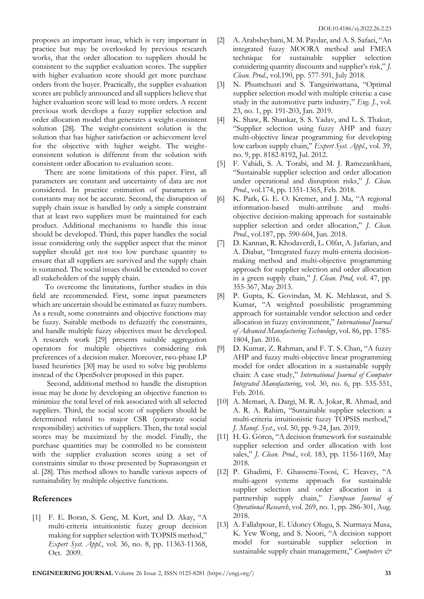proposes an important issue, which is very important in practice but may be overlooked by previous research works, that the order allocation to suppliers should be consistent to the supplier evaluation scores. The supplier with higher evaluation score should get more purchase orders from the buyer. Practically, the supplier evaluation scores are publicly announced and all suppliers believe that higher evaluation score will lead to more orders. A recent previous work develops a fuzzy supplier selection and order allocation model that generates a weight-consistent solution [28]. The weight-consistent solution is the solution that has higher satisfaction or achievement level for the objective with higher weight. The weightconsistent solution is different from the solution with consistent order allocation to evaluation score.

There are some limitations of this paper. First, all parameters are constant and uncertainty of data are not considered. In practice estimation of parameters as constants may not be accurate. Second, the disruption of supply chain issue is handled by only a simple constraint that at least two suppliers must be maintained for each product. Additional mechanisms to handle this issue should be developed. Third, this paper handles the social issue considering only the supplier aspect that the minor supplier should get not too low purchase quantity to ensure that all suppliers are survived and the supply chain is sustained. The social issues should be extended to cover all stakeholders of the supply chain.

To overcome the limitations, further studies in this field are recommended. First, some input parameters which are uncertain should be estimated as fuzzy numbers. As a result, some constraints and objective functions may be fuzzy. Suitable methods to defuzzify the constraints, and handle multiple fuzzy objectives must be developed. A research work [29] presents suitable aggregation operators for multiple objectives considering risk preferences of a decision maker. Moreover, two-phase LP based heuristics [30] may be used to solve big problems instead of the OpenSolver proposed in this paper.

Second, additional method to handle the disruption issue may be done by developing an objective function to minimize the total level of risk associated with all selected suppliers. Third, the social score of suppliers should be determined related to major CSR (corporate social responsibility) activities of suppliers. Then, the total social scores may be maximized by the model. Finally, the purchase quantities may be controlled to be consistent with the supplier evaluation scores using a set of constraints similar to those presented by Suprasongsin et al. [28]. This method allows to handle various aspects of sustainability by multiple objective functions.

# **References**

[1] F. E. Boran, S. Genç, M. Kurt, and D. Akay, "A multi-criteria intuitionistic fuzzy group decision making for supplier selection with TOPSIS method," *Expert Syst. Appl*., vol. 36, no. 8, pp. 11363-11368, Oct. 2009.

- [2] A. Arabsheybani, M. M. Paydar, and A. S. Safaei, "An integrated fuzzy MOORA method and FMEA technique for sustainable supplier selection considering quantity discounts and supplier's risk," *J. Clean. Prod*., vol.190, pp. 577-591, July 2018.
- [3] N. Phumchusri and S. Tangsiriwattana, "Optimal supplier selection model with multiple criteria: a case study in the automotive parts industry," *Eng. J.*, vol. 23, no. 1, pp. 191-203, Jan. 2019.
- [4] K. Shaw, R. Shankar, S. S. Yadav, and L. S. Thakur, "Supplier selection using fuzzy AHP and fuzzy multi-objective linear programming for developing low carbon supply chain," *Expert Syst. Appl*., vol. 39, no. 9, pp. 8182-8192, Jul. 2012.
- [5] F. Vahidi, S. A. Torabi, and M. J. Ramezankhani, "Sustainable supplier selection and order allocation under operational and disruption risks," *J. Clean. Prod.*, vol.174, pp. 1351-1365, Feb. 2018.
- [6] K. Park, G. E. O. Kremer, and J. Ma, "A regional information-based multi-attribute and multiobjective decision-making approach for sustainable supplier selection and order allocation," *J. Clean. Prod.*, vol.187, pp. 590-604, Jun. 2018.
- [7] D. Kannan, R. Khodaverdi, L. Olfat, A. Jafarian, and A. Diabat, "Integrated fuzzy multi-criteria decisionmaking method and multi-objective programming approach for supplier selection and order allocation in a green supply chain," *J. Clean. Prod*, vol. 47, pp. 355-367, May 2013.
- [8] P. Gupta, K. Govindan, M. K. Mehlawat, and S. Kumar, "A weighted possibilistic programming approach for sustainable vendor selection and order allocation in fuzzy environment," *International Journal of Advanced Manufacturing Technology*, vol. 86, pp. 1785- 1804, Jan. 2016.
- [9] D. Kumar, Z. Rahman, and F. T. S. Chan, "A fuzzy AHP and fuzzy multi-objective linear programming model for order allocation in a sustainable supply chain: A case study," *International Journal of Computer Integrated Manufacturing*, vol. 30, no. 6, pp. 535-551, Feb. 2016.
- [10] A. Memari, A. Dargi, M. R. A. Jokar, R. Ahmad, and A. R. A. Rahim, "Sustainable supplier selection: a multi-criteria intuitionistic fuzzy TOPSIS method," *J. Manuf. Syst*., vol. 50, pp. 9-24, Jan. 2019.
- [11] H. G. Gören, "A decision framework for sustainable supplier selection and order allocation with lost sales," *J. Clean. Prod*., vol. 183, pp. 1156-1169, May 2018.
- [12] P. Ghadimi, F. Ghassemi-Toosi, C. Heavey, "A multi-agent systems approach for sustainable supplier selection and order allocation in a partnership supply chain," *European Journal of Operational Research*, vol. 269, no. 1, pp. 286-301, Aug. 2018.
- [13] A. Fallahpour, E. Udoncy Olugu, S. Nurmaya Musa, K. Yew Wong, and S. Noori, "A decision support model for sustainable supplier selection in sustainable supply chain management," *Computers &*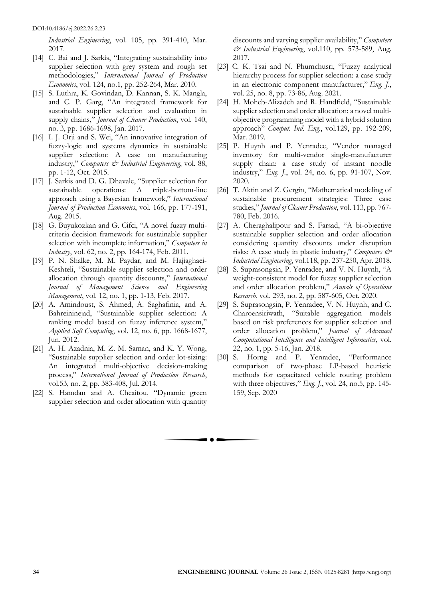*Industrial Engineering*, vol. 105, pp. 391-410, Mar. 2017.

- [14] C. Bai and J. Sarkis, "Integrating sustainability into supplier selection with grey system and rough set methodologies," *International Journal of Production Economics*, vol. 124, no.1, pp. 252-264, Mar. 2010.
- [15] S. Luthra, K. Govindan, D. Kannan, S. K. Mangla, and C. P. Garg, "An integrated framework for sustainable supplier selection and evaluation in supply chains," *Journal of Cleaner Production*, vol. 140, no. 3, pp. 1686-1698, Jan. 2017.
- [16] I. J. Orji and S. Wei, "An innovative integration of fuzzy-logic and systems dynamics in sustainable supplier selection: A case on manufacturing industry," *Computers & Industrial Engineering*, vol. 88, pp. 1-12, Oct. 2015.
- [17] J. Sarkis and D. G. Dhavale, "Supplier selection for sustainable operations: A triple-bottom-line approach using a Bayesian framework," *International Journal of Production Economics*, vol. 166, pp. 177-191, Aug. 2015.
- [18] G. Buyukozkan and G. Cifci, "A novel fuzzy multicriteria decision framework for sustainable supplier selection with incomplete information," *Computers in Industry*, vol. 62, no. 2, pp. 164-174, Feb. 2011.
- [19] P. N. Shalke, M. M. Paydar, and M. Hajiaghaei-Keshteli, "Sustainable supplier selection and order allocation through quantity discounts," *International Journal of Management Science and Engineering Management*, vol. 12, no. 1, pp. 1-13, Feb. 2017.
- [20] A. Amindoust, S. Ahmed, A. Saghafinia, and A. Bahreininejad, "Sustainable supplier selection: A ranking model based on fuzzy inference system," *Applied Soft Computing*, vol. 12, no. 6, pp. 1668-1677, Jun. 2012.
- [21] A. H. Azadnia, M. Z. M. Saman, and K. Y. Wong, "Sustainable supplier selection and order lot-sizing: An integrated multi-objective decision-making process," *International Journal of Production Research*, vol.53, no. 2, pp. 383-408, Jul. 2014.
- [22] S. Hamdan and A. Cheaitou, "Dynamic green supplier selection and order allocation with quantity

discounts and varying supplier availability," *Computers & Industrial Engineering*, vol.110, pp. 573-589, Aug. 2017.

- [23] C. K. Tsai and N. Phumchusri, "Fuzzy analytical hierarchy process for supplier selection: a case study in an electronic component manufacturer," *Eng. J.*, vol. 25, no. 8, pp. 73-86, Aug. 2021.
- [24] H. Moheb-Alizadeh and R. Handfield, "Sustainable supplier selection and order allocation: a novel multiobjective programming model with a hybrid solution approach" *Comput. Ind. Eng*., vol.129, pp. 192-209, Mar. 2019.
- [25] P. Huynh and P. Yenradee, "Vendor managed inventory for multi-vendor single-manufacturer supply chain: a case study of instant noodle industry," *Eng. J.*, vol. 24, no. 6, pp. 91-107, Nov. 2020.
- [26] T. Aktin and Z. Gergin, "Mathematical modeling of sustainable procurement strategies: Three case studies," *Journal of Cleaner Production*, vol. 113, pp. 767- 780, Feb. 2016.
- [27] A. Cheraghalipour and S. Farsad, "A bi-objective sustainable supplier selection and order allocation considering quantity discounts under disruption risks: A case study in plastic industry," *Computers & Industrial Engineering*, vol.118, pp. 237-250, Apr. 2018.
- [28] S. Suprasongsin, P. Yenradee, and V. N. Huynh, "A weight-consistent model for fuzzy supplier selection and order allocation problem," *Annals of Operations Research*, vol. 293, no. 2, pp. 587-605, Oct. 2020.
- [29] S. Suprasongsin, P. Yenradee, V. N. Huynh, and C. Charoensiriwath, "Suitable aggregation models based on risk preferences for supplier selection and order allocation problem," *Journal of Advanced Computational Intelligence and Intelligent Informatics*, vol. 22, no. 1, pp. 5-16, Jan. 2018.
- [30] S. Horng and P. Yenradee, "Performance comparison of two-phase LP-based heuristic methods for capacitated vehicle routing problem with three objectives," *Eng. J.*, vol. 24, no.5, pp. 145- 159, Sep. 2020

 $\bullet$   $\bullet$